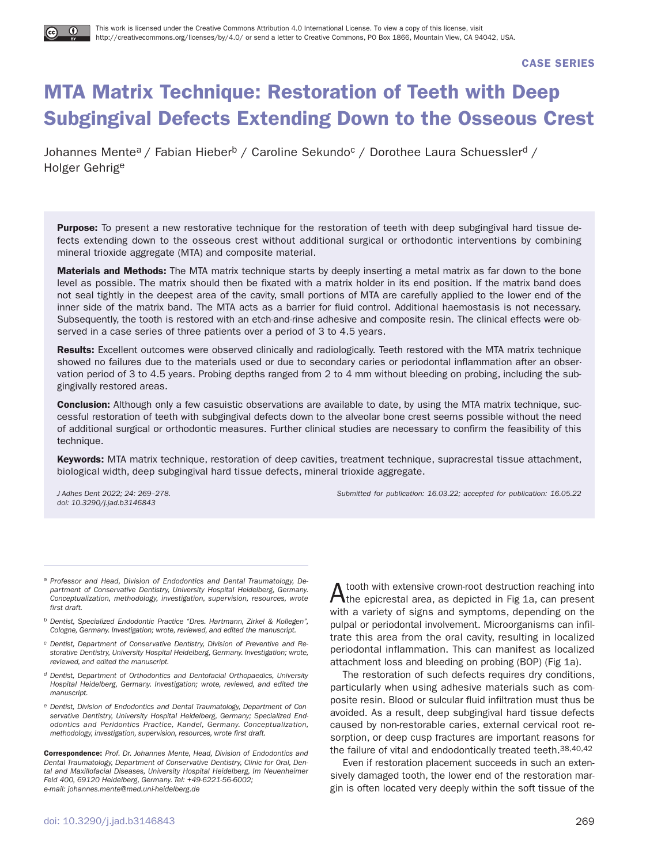**CASE SERIES**

# **MTA Matrix Technique: Restoration of Teeth with Deep Subgingival Defects Extending Down to the Osseous Crest**

Johannes Mente<sup>a</sup> / Fabian Hieber<sup>b</sup> / Caroline Sekundo<sup>c</sup> / Dorothee Laura Schuessler<sup>d</sup> / Holger Gehrige

**Purpose:** To present a new restorative technique for the restoration of teeth with deep subgingival hard tissue defects extending down to the osseous crest without additional surgical or orthodontic interventions by combining mineral trioxide aggregate (MTA) and composite material.

**Materials and Methods:** The MTA matrix technique starts by deeply inserting a metal matrix as far down to the bone level as possible. The matrix should then be fixated with a matrix holder in its end position. If the matrix band does not seal tightly in the deepest area of the cavity, small portions of MTA are carefully applied to the lower end of the inner side of the matrix band. The MTA acts as a barrier for fluid control. Additional haemostasis is not necessary. Subsequently, the tooth is restored with an etch-and-rinse adhesive and composite resin. The clinical effects were observed in a case series of three patients over a period of 3 to 4.5 years.

**Results:** Excellent outcomes were observed clinically and radiologically. Teeth restored with the MTA matrix technique showed no failures due to the materials used or due to secondary caries or periodontal inflammation after an observation period of 3 to 4.5 years. Probing depths ranged from 2 to 4 mm without bleeding on probing, including the subgingivally restored areas.

**Conclusion:** Although only a few casuistic observations are available to date, by using the MTA matrix technique, successful restoration of teeth with subgingival defects down to the alveolar bone crest seems possible without the need of additional surgical or orthodontic measures. Further clinical studies are necessary to confirm the feasibility of this technique.

**Keywords:** MTA matrix technique, restoration of deep cavities, treatment technique, supracrestal tissue attachment, biological width, deep subgingival hard tissue defects, mineral trioxide aggregate.

doi: 10.3290/j.jad.b3146843

J Adhes Dent 2022; 24: 269–278. Submitted for publication: 16.03.22; accepted for publication: 16.05.22

- a Professor and Head, Division of Endodontics and Dental Traumatology, Department of Conservative Dentistry, University Hospital Heidelberg, Germany. Conceptualization, methodology, investigation, supervision, resources, wrote first draft.
- b Dentist, Specialized Endodontic Practice "Dres. Hartmann, Zirkel & Kollegen", Cologne, Germany. Investigation; wrote, reviewed, and edited the manuscript.
- c Dentist, Department of Conservative Dentistry, Division of Preventive and Restorative Dentistry, University Hospital Heidelberg, Germany. Investigation; wrote, reviewed, and edited the manuscript.
- d Dentist, Department of Orthodontics and Dentofacial Orthopaedics, University Hospital Heidelberg, Germany. Investigation; wrote, reviewed, and edited the manuscript.
- e Dentist, Division of Endodontics and Dental Traumatology, Department of Conservative Dentistry, University Hospital Heidelberg, Germany; Specialized Endodontics and Peridontics Practice, Kandel, Germany. Conceptualization, methodology, investigation, supervision, resources, wrote first draft.

**Correspondence:** Prof. Dr. Johannes Mente, Head, Division of Endodontics and Dental Traumatology, Department of Conservative Dentistry, Clinic for Oral, Dental and Maxillofacial Diseases, University Hospital Heidelberg, Im Neuenheimer Feld 400, 69120 Heidelberg, Germany. Tel: +49-6221-56-6002; e-mail: johannes.mente@med.uni-heidelberg.de

Atooth with extensive crown-root destruction reaching into the epicrestal area, as depicted in Fig 1a, can present with a variety of signs and symptoms, depending on the pulpal or periodontal involvement. Microorganisms can infiltrate this area from the oral cavity, resulting in localized periodontal inflammation. This can manifest as localized attachment loss and bleeding on probing (BOP) (Fig 1a).

The restoration of such defects requires dry conditions, particularly when using adhesive materials such as composite resin. Blood or sulcular fluid infiltration must thus be avoided. As a result, deep subgingival hard tissue defects caused by non-restorable caries, external cervical root resorption, or deep cusp fractures are important reasons for the failure of vital and endodontically treated teeth. 38,40,42

Even if restoration placement succeeds in such an extensively damaged tooth, the lower end of the restoration margin is often located very deeply within the soft tissue of the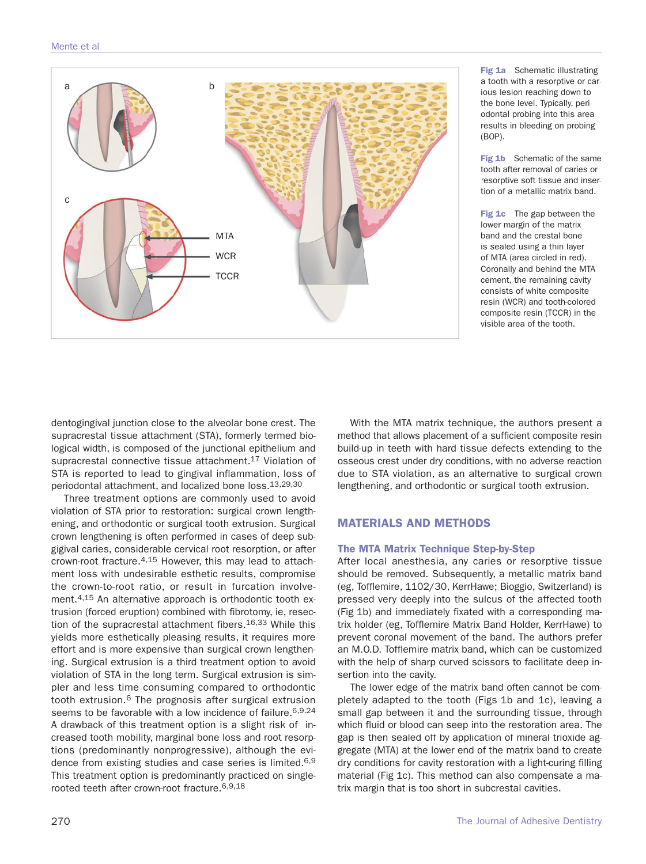

**Fig 1a** Schematic illustrating a tooth with a resorptive or carious lesion reaching down to the bone level. Typically, periodontal probing into this area results in bleeding on probing (BOP).

**Fig 1b** Schematic of the same tooth after removal of caries or resorptive soft tissue and insertion of a metallic matrix band.

**Fig 1c** The gap between the lower margin of the matrix band and the crestal bone is sealed using a thin layer of MTA (area circled in red). Coronally and behind the MTA cement, the remaining cavity consists of white composite resin (WCR) and tooth-colored composite resin (TCCR) in the visible area of the tooth.

dentogingival junction close to the alveolar bone crest. The supracrestal tissue attachment (STA), formerly termed biological width, is composed of the junctional epithelium and supracrestal connective tissue attachment.<sup>17</sup> Violation of STA is reported to lead to gingival inflammation, loss of periodontal attachment, and localized bone loss.13,29,30

Three treatment options are commonly used to avoid violation of STA prior to restoration: surgical crown lengthening, and orthodontic or surgical tooth extrusion. Surgical crown lengthening is often performed in cases of deep subgigival caries, considerable cervical root resorption, or after crown-root fracture.4,15 However, this may lead to attachment loss with undesirable esthetic results, compromise the crown-to-root ratio, or result in furcation involvement.4,15 An alternative approach is orthodontic tooth extrusion (forced eruption) combined with fibrotomy, ie, resection of the supracrestal attachment fibers.<sup>16,33</sup> While this yields more esthetically pleasing results, it requires more effort and is more expensive than surgical crown lengthening. Surgical extrusion is a third treatment option to avoid violation of STA in the long term. Surgical extrusion is simpler and less time consuming compared to orthodontic tooth extrusion.6 The prognosis after surgical extrusion seems to be favorable with a low incidence of failure. 6,9,24 A drawback of this treatment option is a slight risk of increased tooth mobility, marginal bone loss and root resorptions (predominantly nonprogressive), although the evidence from existing studies and case series is limited.<sup>6,9</sup> This treatment option is predominantly practiced on singlerooted teeth after crown-root fracture.6,9,18

With the MTA matrix technique, the authors present a method that allows placement of a sufficient composite resin build-up in teeth with hard tissue defects extending to the osseous crest under dry conditions, with no adverse reaction due to STA violation, as an alternative to surgical crown lengthening, and orthodontic or surgical tooth extrusion.

# **MATERIALS AND METHODS**

## **The MTA Matrix Technique Step-by-Step**

After local anesthesia, any caries or resorptive tissue should be removed. Subsequently, a metallic matrix band (eg, Tofflemire, 1102/30, KerrHawe; Bioggio, Switzerland) is pressed very deeply into the sulcus of the affected tooth (Fig 1b) and immediately fixated with a corresponding matrix holder (eg, Tofflemire Matrix Band Holder, KerrHawe) to prevent coronal movement of the band. The authors prefer an M.O.D. Tofflemire matrix band, which can be customized with the help of sharp curved scissors to facilitate deep insertion into the cavity.

The lower edge of the matrix band often cannot be completely adapted to the tooth (Figs 1b and 1c), leaving a small gap between it and the surrounding tissue, through which fluid or blood can seep into the restoration area. The gap is then sealed off by application of mineral trioxide aggregate (MTA) at the lower end of the matrix band to create dry conditions for cavity restoration with a light-curing filling material (Fig 1c). This method can also compensate a matrix margin that is too short in subcrestal cavities.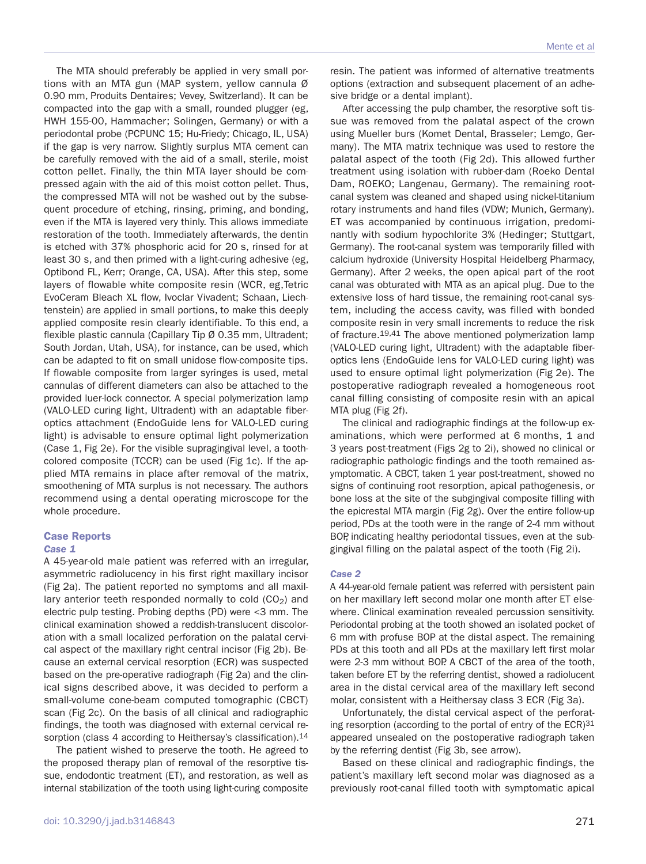The MTA should preferably be applied in very small portions with an MTA gun (MAP system, yellow cannula Ø 0.90 mm, Produits Dentaires; Vevey, Switzerland). It can be compacted into the gap with a small, rounded plugger (eg, HWH 155-00, Hammacher; Solingen, Germany) or with a periodontal probe (PCPUNC 15; Hu-Friedy; Chicago, IL, USA) if the gap is very narrow. Slightly surplus MTA cement can be carefully removed with the aid of a small, sterile, moist cotton pellet. Finally, the thin MTA layer should be compressed again with the aid of this moist cotton pellet. Thus, the compressed MTA will not be washed out by the subsequent procedure of etching, rinsing, priming, and bonding, even if the MTA is layered very thinly. This allows immediate restoration of the tooth. Immediately afterwards, the dentin is etched with 37% phosphoric acid for 20 s, rinsed for at least 30 s, and then primed with a light-curing adhesive (eg, Optibond FL, Kerr; Orange, CA, USA). After this step, some layers of flowable white composite resin (WCR, eg,Tetric EvoCeram Bleach XL flow, Ivoclar Vivadent; Schaan, Liechtenstein) are applied in small portions, to make this deeply applied composite resin clearly identifiable. To this end, a flexible plastic cannula (Capillary Tip Ø 0.35 mm, Ultradent; South Jordan, Utah, USA), for instance, can be used, which can be adapted to fit on small unidose flow-composite tips. If flowable composite from larger syringes is used, metal cannulas of different diameters can also be attached to the provided luer-lock connector. A special polymerization lamp (VALO-LED curing light, Ultradent) with an adaptable fiberoptics attachment (EndoGuide lens for VALO-LED curing light) is advisable to ensure optimal light polymerization (Case 1, Fig 2e). For the visible supragingival level, a toothcolored composite (TCCR) can be used (Fig 1c). If the applied MTA remains in place after removal of the matrix, smoothening of MTA surplus is not necessary. The authors recommend using a dental operating microscope for the whole procedure.

#### **Case Reports**

#### *Case 1*

A 45-year-old male patient was referred with an irregular, asymmetric radiolucency in his first right maxillary incisor (Fig 2a). The patient reported no symptoms and all maxillary anterior teeth responded normally to cold  $(CO<sub>2</sub>)$  and electric pulp testing. Probing depths (PD) were <3 mm. The clinical examination showed a reddish-translucent discoloration with a small localized perforation on the palatal cervical aspect of the maxillary right central incisor (Fig 2b). Because an external cervical resorption (ECR) was suspected based on the pre-operative radiograph (Fig 2a) and the clinical signs described above, it was decided to perform a small-volume cone-beam computed tomographic (CBCT) scan (Fig 2c). On the basis of all clinical and radiographic findings, the tooth was diagnosed with external cervical resorption (class 4 according to Heithersay's classification).<sup>14</sup>

The patient wished to preserve the tooth. He agreed to the proposed therapy plan of removal of the resorptive tissue, endodontic treatment (ET), and restoration, as well as internal stabilization of the tooth using light-curing composite resin. The patient was informed of alternative treatments options (extraction and subsequent placement of an adhesive bridge or a dental implant).

After accessing the pulp chamber, the resorptive soft tissue was removed from the palatal aspect of the crown using Mueller burs (Komet Dental, Brasseler; Lemgo, Germany). The MTA matrix technique was used to restore the palatal aspect of the tooth (Fig 2d). This allowed further treatment using isolation with rubber-dam (Roeko Dental Dam, ROEKO; Langenau, Germany). The remaining rootcanal system was cleaned and shaped using nickel-titanium rotary instruments and hand files (VDW; Munich, Germany). ET was accompanied by continuous irrigation, predominantly with sodium hypochlorite 3% (Hedinger; Stuttgart, Germany). The root-canal system was temporarily filled with calcium hydroxide (University Hospital Heidelberg Pharmacy, Germany). After 2 weeks, the open apical part of the root canal was obturated with MTA as an apical plug. Due to the extensive loss of hard tissue, the remaining root-canal system, including the access cavity, was filled with bonded composite resin in very small increments to reduce the risk of fracture.19,41 The above mentioned polymerization lamp (VALO-LED curing light, Ultradent) with the adaptable fiberoptics lens (EndoGuide lens for VALO-LED curing light) was used to ensure optimal light polymerization (Fig 2e). The postoperative radiograph revealed a homogeneous root canal filling consisting of composite resin with an apical MTA plug (Fig 2f).

The clinical and radiographic findings at the follow-up examinations, which were performed at 6 months, 1 and 3 years post-treatment (Figs 2g to 2i), showed no clinical or radiographic pathologic findings and the tooth remained asymptomatic. A CBCT, taken 1 year post-treatment, showed no signs of continuing root resorption, apical pathogenesis, or bone loss at the site of the subgingival composite filling with the epicrestal MTA margin (Fig 2g). Over the entire follow-up period, PDs at the tooth were in the range of 2-4 mm without BOP, indicating healthy periodontal tissues, even at the subgingival filling on the palatal aspect of the tooth (Fig 2i).

#### *Case 2*

A 44-year-old female patient was referred with persistent pain on her maxillary left second molar one month after ET elsewhere. Clinical examination revealed percussion sensitivity. Periodontal probing at the tooth showed an isolated pocket of 6 mm with profuse BOP at the distal aspect. The remaining PDs at this tooth and all PDs at the maxillary left first molar were 2-3 mm without BOP. A CBCT of the area of the tooth, taken before ET by the referring dentist, showed a radiolucent area in the distal cervical area of the maxillary left second molar, consistent with a Heithersay class 3 ECR (Fig 3a).

Unfortunately, the distal cervical aspect of the perforating resorption (according to the portal of entry of the ECR)<sup>31</sup> appeared unsealed on the postoperative radiograph taken by the referring dentist (Fig 3b, see arrow).

Based on these clinical and radiographic findings, the patient's maxillary left second molar was diagnosed as a previously root-canal filled tooth with symptomatic apical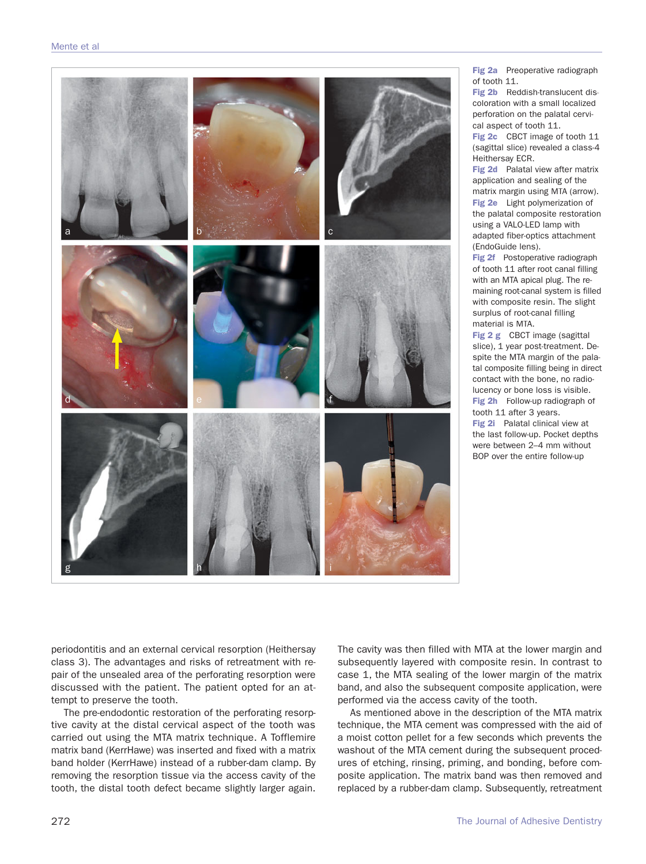

**Fig 2a** Preoperative radiograph of tooth 11.

**Fig 2b** Reddish-translucent discoloration with a small localized perforation on the palatal cervical aspect of tooth 11.

**Fig 2c** CBCT image of tooth 11 (sagittal slice) revealed a class-4 Heithersay ECR.

**Fig 2d** Palatal view after matrix application and sealing of the matrix margin using MTA (arrow). **Fig 2e** Light polymerization of the palatal composite restoration using a VALO-LED lamp with adapted fiber-optics attachment (EndoGuide lens).

**Fig 2f** Postoperative radiograph of tooth 11 after root canal filling with an MTA apical plug. The remaining root-canal system is filled with composite resin. The slight surplus of root-canal filling material is MTA.

**Fig 2 g** CBCT image (sagittal slice), 1 year post-treatment. Despite the MTA margin of the palatal composite filling being in direct contact with the bone, no radiolucency or bone loss is visible. **Fig 2h** Follow-up radiograph of tooth 11 after 3 years. **Fig 2i** Palatal clinical view at the last follow-up. Pocket depths were between 2–4 mm without BOP over the entire follow-up

periodontitis and an external cervical resorption (Heithersay class 3). The advantages and risks of retreatment with repair of the unsealed area of the perforating resorption were discussed with the patient. The patient opted for an attempt to preserve the tooth.

The pre-endodontic restoration of the perforating resorptive cavity at the distal cervical aspect of the tooth was carried out using the MTA matrix technique. A Tofflemire matrix band (KerrHawe) was inserted and fixed with a matrix band holder (KerrHawe) instead of a rubber-dam clamp. By removing the resorption tissue via the access cavity of the tooth, the distal tooth defect became slightly larger again.

The cavity was then filled with MTA at the lower margin and subsequently layered with composite resin. In contrast to case 1, the MTA sealing of the lower margin of the matrix band, and also the subsequent composite application, were performed via the access cavity of the tooth.

As mentioned above in the description of the MTA matrix technique, the MTA cement was compressed with the aid of a moist cotton pellet for a few seconds which prevents the washout of the MTA cement during the subsequent procedures of etching, rinsing, priming, and bonding, before composite application. The matrix band was then removed and replaced by a rubber-dam clamp. Subsequently, retreatment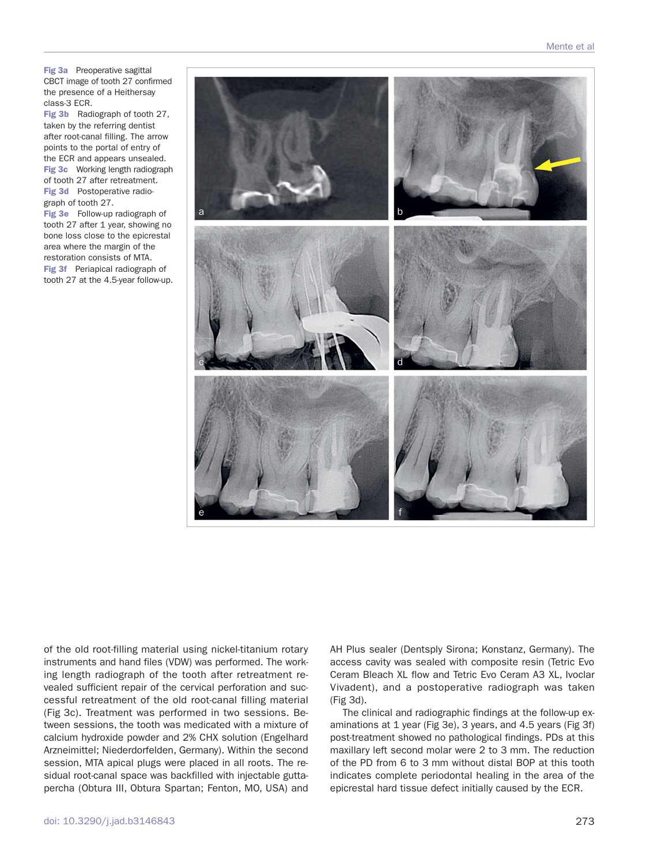**Fig 3a** Preoperative sagittal CBCT image of tooth 27 confirmed the presence of a Heithersay class-3 ECR.

**Fig 3b** Radiograph of tooth 27, taken by the referring dentist after root-canal filling. The arrow points to the portal of entry of the ECR and appears unsealed. **Fig 3c** Working length radiograph of tooth 27 after retreatment. **Fig 3d** Postoperative radiograph of tooth 27.

**Fig 3e** Follow-up radiograph of tooth 27 after 1 year, showing no bone loss close to the epicrestal area where the margin of the restoration consists of MTA. **Fig 3f** Periapical radiograph of tooth 27 at the 4.5-year follow-up.



of the old root-filling material using nickel-titanium rotary instruments and hand files (VDW) was performed. The working length radiograph of the tooth after retreatment revealed sufficient repair of the cervical perforation and successful retreatment of the old root-canal filling material (Fig 3c). Treatment was performed in two sessions. Between sessions, the tooth was medicated with a mixture of calcium hydroxide powder and 2% CHX solution (Engelhard Arzneimittel; Niederdorfelden, Germany). Within the second session, MTA apical plugs were placed in all roots. The residual root-canal space was backfilled with injectable guttapercha (Obtura III, Obtura Spartan; Fenton, MO, USA) and

AH Plus sealer (Dentsply Sirona; Konstanz, Germany). The access cavity was sealed with composite resin (Tetric Evo Ceram Bleach XL flow and Tetric Evo Ceram A3 XL, Ivoclar Vivadent), and a postoperative radiograph was taken (Fig 3d).

The clinical and radiographic findings at the follow-up examinations at 1 year (Fig 3e), 3 years, and 4.5 years (Fig 3f) post-treatment showed no pathological findings. PDs at this maxillary left second molar were 2 to 3 mm. The reduction of the PD from 6 to 3 mm without distal BOP at this tooth indicates complete periodontal healing in the area of the epicrestal hard tissue defect initially caused by the ECR.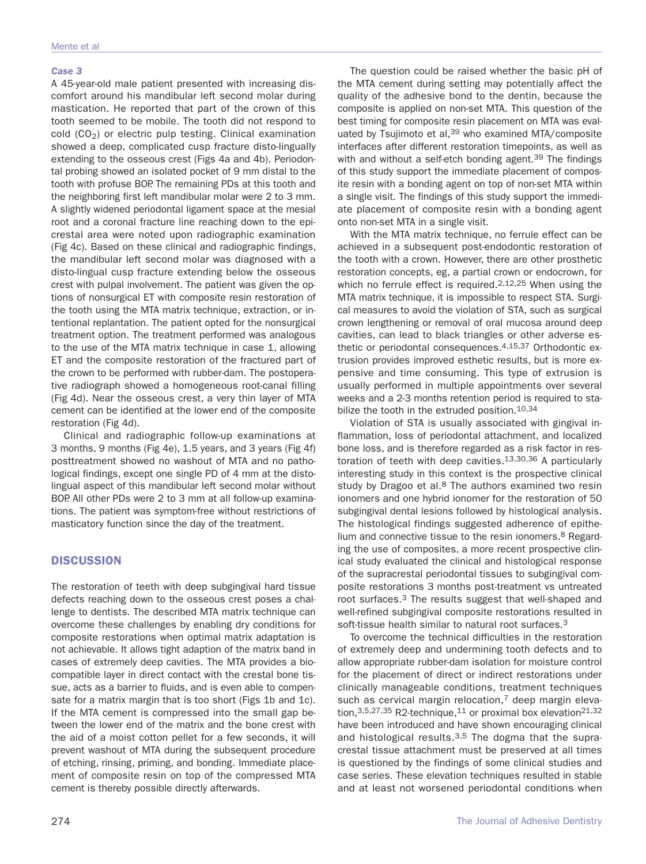#### *Case 3*

A 45-year-old male patient presented with increasing discomfort around his mandibular left second molar during mastication. He reported that part of the crown of this tooth seemed to be mobile. The tooth did not respond to cold  $(CO<sub>2</sub>)$  or electric pulp testing. Clinical examination showed a deep, complicated cusp fracture disto-lingually extending to the osseous crest (Figs 4a and 4b). Periodontal probing showed an isolated pocket of 9 mm distal to the tooth with profuse BOP. The remaining PDs at this tooth and the neighboring first left mandibular molar were 2 to 3 mm. A slightly widened periodontal ligament space at the mesial root and a coronal fracture line reaching down to the epicrestal area were noted upon radiographic examination (Fig 4c). Based on these clinical and radiographic findings, the mandibular left second molar was diagnosed with a disto-lingual cusp fracture extending below the osseous crest with pulpal involvement. The patient was given the options of nonsurgical ET with composite resin restoration of the tooth using the MTA matrix technique, extraction, or intentional replantation. The patient opted for the nonsurgical treatment option. The treatment performed was analogous to the use of the MTA matrix technique in case 1, allowing ET and the composite restoration of the fractured part of the crown to be performed with rubber-dam. The postoperative radiograph showed a homogeneous root-canal filling (Fig 4d). Near the osseous crest, a very thin layer of MTA cement can be identified at the lower end of the composite restoration (Fig 4d).

Clinical and radiographic follow-up examinations at 3 months, 9 months (Fig 4e), 1.5 years, and 3 years (Fig 4f) posttreatment showed no washout of MTA and no pathological findings, except one single PD of 4 mm at the distolingual aspect of this mandibular left second molar without BOP. All other PDs were 2 to 3 mm at all follow-up examinations. The patient was symptom-free without restrictions of masticatory function since the day of the treatment.

## **DISCUSSION**

The restoration of teeth with deep subgingival hard tissue defects reaching down to the osseous crest poses a challenge to dentists. The described MTA matrix technique can overcome these challenges by enabling dry conditions for composite restorations when optimal matrix adaptation is not achievable. It allows tight adaption of the matrix band in cases of extremely deep cavities. The MTA provides a biocompatible layer in direct contact with the crestal bone tissue, acts as a barrier to fluids, and is even able to compensate for a matrix margin that is too short (Figs 1b and 1c). If the MTA cement is compressed into the small gap between the lower end of the matrix and the bone crest with the aid of a moist cotton pellet for a few seconds, it will prevent washout of MTA during the subsequent procedure of etching, rinsing, priming, and bonding. Immediate placement of composite resin on top of the compressed MTA cement is thereby possible directly afterwards.

The question could be raised whether the basic pH of the MTA cement during setting may potentially affect the quality of the adhesive bond to the dentin, because the composite is applied on non-set MTA. This question of the best timing for composite resin placement on MTA was evaluated by Tsujimoto et al,<sup>39</sup> who examined MTA/composite interfaces after different restoration timepoints, as well as with and without a self-etch bonding agent.39 The findings of this study support the immediate placement of composite resin with a bonding agent on top of non-set MTA within a single visit. The findings of this study support the immediate placement of composite resin with a bonding agent onto non-set MTA in a single visit.

With the MTA matrix technique, no ferrule effect can be achieved in a subsequent post-endodontic restoration of the tooth with a crown. However, there are other prosthetic restoration concepts, eg, a partial crown or endocrown, for which no ferrule effect is required.<sup>2,12,25</sup> When using the MTA matrix technique, it is impossible to respect STA. Surgical measures to avoid the violation of STA, such as surgical crown lengthening or removal of oral mucosa around deep cavities, can lead to black triangles or other adverse esthetic or periodontal consequences.4,15,37 Orthodontic extrusion provides improved esthetic results, but is more expensive and time consuming. This type of extrusion is usually performed in multiple appointments over several weeks and a 2-3 months retention period is required to stabilize the tooth in the extruded position.<sup>10,34</sup>

Violation of STA is usually associated with gingival inflammation, loss of periodontal attachment, and localized bone loss, and is therefore regarded as a risk factor in restoration of teeth with deep cavities.13,30,36 A particularly interesting study in this context is the prospective clinical study by Dragoo et al.<sup>8</sup> The authors examined two resin ionomers and one hybrid ionomer for the restoration of 50 subgingival dental lesions followed by histological analysis. The histological findings suggested adherence of epithelium and connective tissue to the resin ionomers.8 Regarding the use of composites, a more recent prospective clinical study evaluated the clinical and histological response of the supracrestal periodontal tissues to subgingival composite restorations 3 months post-treatment vs untreated root surfaces.3 The results suggest that well-shaped and well-refined subgingival composite restorations resulted in soft-tissue health similar to natural root surfaces.<sup>3</sup>

To overcome the technical difficulties in the restoration of extremely deep and undermining tooth defects and to allow appropriate rubber-dam isolation for moisture control for the placement of direct or indirect restorations under clinically manageable conditions, treatment techniques such as cervical margin relocation, $<sup>7</sup>$  deep margin eleva-</sup> tion,  $3,5,27,35$  R2-technique,  $11$  or proximal box elevation  $21,32$ have been introduced and have shown encouraging clinical and histological results.<sup>3,5</sup> The dogma that the supracrestal tissue attachment must be preserved at all times is questioned by the findings of some clinical studies and case series. These elevation techniques resulted in stable and at least not worsened periodontal conditions when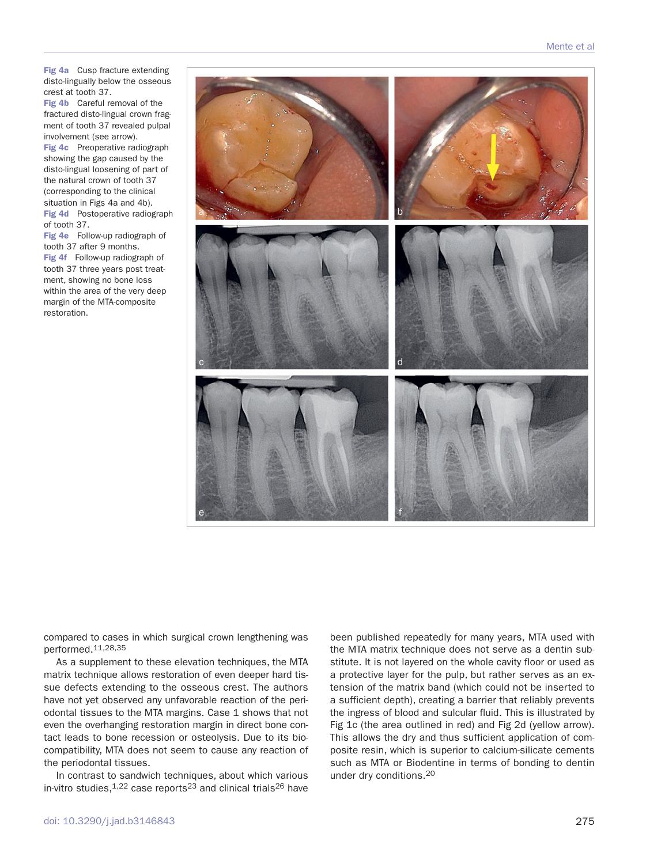**Fig 4a** Cusp fracture extending disto-lingually below the osseous crest at tooth 37.

**Fig 4b** Careful removal of the fractured disto-lingual crown fragment of tooth 37 revealed pulpal involvement (see arrow).

**Fig 4c** Preoperative radiograph showing the gap caused by the disto-lingual loosening of part of the natural crown of tooth 37 (corresponding to the clinical situation in Figs 4a and 4b). **Fig 4d** Postoperative radiograph of tooth 37.

**Fig 4e** Follow-up radiograph of tooth 37 after 9 months. **Fig 4f** Follow-up radiograph of tooth 37 three years post treatment, showing no bone loss within the area of the very deep margin of the MTA-composite restoration.



compared to cases in which surgical crown lengthening was performed.11,28,35

As a supplement to these elevation techniques, the MTA matrix technique allows restoration of even deeper hard tissue defects extending to the osseous crest. The authors have not yet observed any unfavorable reaction of the periodontal tissues to the MTA margins. Case 1 shows that not even the overhanging restoration margin in direct bone contact leads to bone recession or osteolysis. Due to its biocompatibility, MTA does not seem to cause any reaction of the periodontal tissues.

In contrast to sandwich techniques, about which various in-vitro studies, $1,22$  case reports<sup>23</sup> and clinical trials<sup>26</sup> have been published repeatedly for many years, MTA used with the MTA matrix technique does not serve as a dentin substitute. It is not layered on the whole cavity floor or used as a protective layer for the pulp, but rather serves as an extension of the matrix band (which could not be inserted to a sufficient depth), creating a barrier that reliably prevents the ingress of blood and sulcular fluid. This is illustrated by Fig 1c (the area outlined in red) and Fig 2d (yellow arrow). This allows the dry and thus sufficient application of composite resin, which is superior to calcium-silicate cements such as MTA or Biodentine in terms of bonding to dentin under dry conditions.20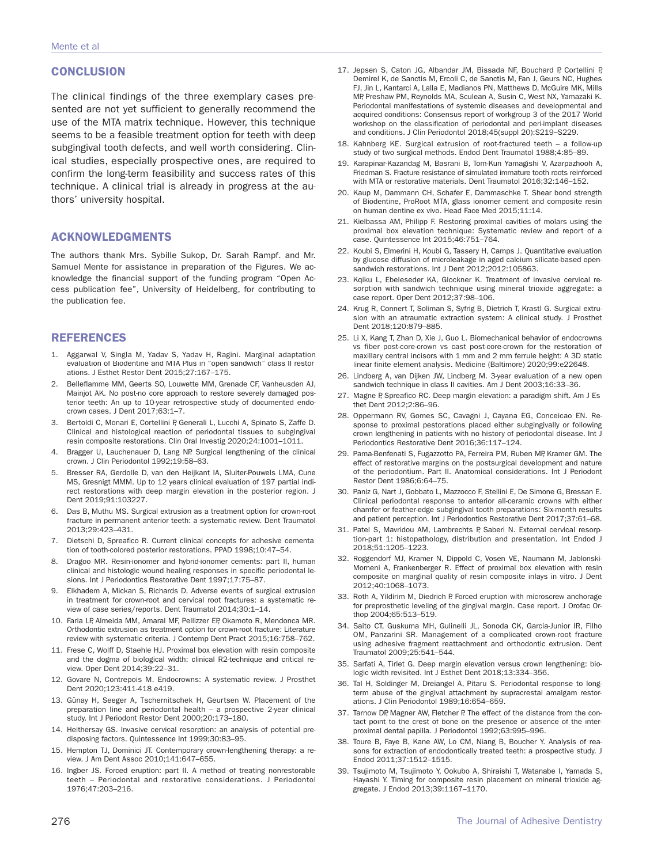## **CONCLUSION**

The clinical findings of the three exemplary cases presented are not yet sufficient to generally recommend the use of the MTA matrix technique. However, this technique seems to be a feasible treatment option for teeth with deep subgingival tooth defects, and well worth considering. Clinical studies, especially prospective ones, are required to confirm the long-term feasibility and success rates of this technique. A clinical trial is already in progress at the authors' university hospital.

## **ACKNOWLEDGMENTS**

The authors thank Mrs. Sybille Sukop, Dr. Sarah Rampf. and Mr. Samuel Mente for assistance in preparation of the Figures. We acknowledge the financial support of the funding program "Open Access publication fee", University of Heidelberg, for contributing to the publication fee.

## **REFERENCES**

- 1. Aggarwal V, Singla M, Yadav S, Yadav H, Ragini. Marginal adaptation evaluation of Biodentine and MTA Plus in "open sandwich" class II restorations. J Esthet Restor Dent 2015;27:167–175.
- 2. Belleflamme MM, Geerts SO, Louwette MM, Grenade CF, Vanheusden AJ, Mainjot AK. No post-no core approach to restore severely damaged posterior teeth: An up to 10-year retrospective study of documented endocrown cases. J Dent 2017;63:1–7.
- 3. Bertoldi C, Monari E, Cortellini P, Generali L, Lucchi A, Spinato S, Zaffe D. Clinical and histological reaction of periodontal tissues to subgingival resin composite restorations. Clin Oral Investig 2020;24:1001–1011.
- 4. Bragger U, Lauchenauer D, Lang NP. Surgical lengthening of the clinical crown. J Clin Periodontol 1992;19:58–63.
- 5. Bresser RA, Gerdolle D, van den Heijkant IA, Sluiter-Pouwels LMA, Cune MS, Gresnigt MMM. Up to 12 years clinical evaluation of 197 partial indirect restorations with deep margin elevation in the posterior region. J Dent 2019;91:103227.
- Das B, Muthu MS. Surgical extrusion as a treatment option for crown-root fracture in permanent anterior teeth: a systematic review. Dent Traumatol 2013;29:423–431.
- 7. Dietschi D, Spreafico R. Current clinical concepts for adhesive cementation of tooth-colored posterior restorations. PPAD 1998;10:47–54.
- Dragoo MR. Resin-ionomer and hybrid-ionomer cements: part II, human clinical and histologic wound healing responses in specific periodontal lesions. Int J Periodontics Restorative Dent 1997;17:75–87.
- 9. Elkhadem A, Mickan S, Richards D. Adverse events of surgical extrusion in treatment for crown-root and cervical root fractures: a systematic review of case series/reports. Dent Traumatol 2014;30:1–14.
- 10. Faria LP, Almeida MM, Amaral MF, Pellizzer EP, Okamoto R, Mendonca MR. Orthodontic extrusion as treatment option for crown-root fracture: Literature review with systematic criteria. J Contemp Dent Pract 2015;16:758–762.
- 11. Frese C, Wolff D, Staehle HJ. Proximal box elevation with resin composite and the dogma of biological width: clinical R2-technique and critical review. Oper Dent 2014;39:22–31.
- 12. Govare N, Contrepois M. Endocrowns: A systematic review. J Prosthet Dent 2020;123:411-418 e419.
- 13. Günay H, Seeger A, Tschernitschek H, Geurtsen W. Placement of the preparation line and periodontal health – a prospective 2-year clinical study. Int J Periodont Restor Dent 2000;20:173–180.
- 14. Heithersay GS. Invasive cervical resorption: an analysis of potential predisposing factors. Quintessence Int 1999;30:83–95.
- 15. Hempton TJ, Dominici JT. Contemporary crown-lengthening therapy: a review. J Am Dent Assoc 2010;141:647–655.
- 16. Ingber JS. Forced eruption: part II. A method of treating nonrestorable teeth – Periodontal and restorative considerations. J Periodontol 1976;47:203–216.
- 17. Jepsen S, Caton JG, Albandar JM, Bissada NF, Bouchard P, Cortellini P, Demirel K, de Sanctis M, Ercoli C, de Sanctis M, Fan J, Geurs NC, Hughes FJ, Jin L, Kantarci A, Lalla E, Madianos PN, Matthews D, McGuire MK, Mills MP, Preshaw PM, Reynolds MA, Sculean A, Susin C, West NX, Yamazaki K. Periodontal manifestations of systemic diseases and developmental and acquired conditions: Consensus report of workgroup 3 of the 2017 World workshop on the classification of periodontal and peri-implant diseases and conditions. J Clin Periodontol 2018;45(suppl 20):S219–S229.
- 18. Kahnberg KE. Surgical extrusion of root-fractured teeth a follow-up study of two surgical methods. Endod Dent Traumatol 1988;4:85–89.
- 19. Karapinar-Kazandag M, Basrani B, Tom-Kun Yamagishi V, Azarpazhooh A, Friedman S. Fracture resistance of simulated immature tooth roots reinforced with MTA or restorative materials. Dent Traumatol 2016;32:146–152.
- 20. Kaup M, Dammann CH, Schafer E, Dammaschke T. Shear bond strength of Biodentine, ProRoot MTA, glass ionomer cement and composite resin on human dentine ex vivo. Head Face Med 2015;11:14.
- 21. Kielbassa AM, Philipp F. Restoring proximal cavities of molars using the proximal box elevation technique: Systematic review and report of a case. Quintessence Int 2015;46:751–764.
- 22. Koubi S, Elmerini H, Koubi G, Tassery H, Camps J. Quantitative evaluation by glucose diffusion of microleakage in aged calcium silicate-based opensandwich restorations. Int J Dent 2012;2012:105863.
- 23. Kqiku L, Ebeleseder KA, Glockner K. Treatment of invasive cervical resorption with sandwich technique using mineral trioxide aggregate: a case report. Oper Dent 2012;37:98–106.
- 24. Krug R, Connert T, Soliman S, Syfrig B, Dietrich T, Krastl G. Surgical extrusion with an atraumatic extraction system: A clinical study. J Prosthet Dent 2018;120:879–885.
- 25. Li X, Kang T, Zhan D, Xie J, Guo L. Biomechanical behavior of endocrowns vs fiber post-core-crown vs cast post-core-crown for the restoration of maxillary central incisors with 1 mm and 2 mm ferrule height: A 3D static linear finite element analysis. Medicine (Baltimore) 2020;99:e22648.
- 26. Lindberg A, van Dijken JW, Lindberg M. 3-year evaluation of a new open sandwich technique in class II cavities. Am J Dent 2003;16:33–36.
- 27. Magne P, Spreafico RC. Deep margin elevation: a paradigm shift. Am J Esthet Dent 2012;2:86–96.
- 28. Oppermann RV, Gomes SC, Cavagni J, Cayana EG, Conceicao EN. Response to proximal pestorations placed either subgingivally or following crown lengthening in patients with no history of periodontal disease. Int J Periodontics Restorative Dent 2016;36:117–124.
- 29. Pama-Benfenati S, Fugazzotto PA, Ferreira PM, Ruben MP, Kramer GM. The effect of restorative margins on the postsurgical development and nature of the periodontium. Part II. Anatomical considerations. Int J Periodont Restor Dent 1986;6:64–75.
- 30. Paniz G, Nart J, Gobbato L, Mazzocco F, Stellini E, De Simone G, Bressan E. Clinical periodontal response to anterior all-ceramic crowns with either chamfer or feather-edge subgingival tooth preparations: Six-month results and patient perception. Int J Periodontics Restorative Dent 2017;37:61–68.
- 31. Patel S, Mavridou AM, Lambrechts P, Saberi N. External cervical resorption-part 1: histopathology, distribution and presentation. Int Endod J 2018;51:1205–1223.
- 32. Roggendorf MJ, Kramer N, Dippold C, Vosen VE, Naumann M, Jablonski-Momeni A, Frankenberger R. Effect of proximal box elevation with resin composite on marginal quality of resin composite inlays in vitro. J Dent 2012;40:1068–1073.
- 33. Roth A, Yildirim M, Diedrich P. Forced eruption with microscrew anchorage for preprosthetic leveling of the gingival margin. Case report. J Orofac Orthop 2004;65:513–519.
- 34. Saito CT, Guskuma MH, Gulinelli JL, Sonoda CK, Garcia-Junior IR, Filho OM, Panzarini SR. Management of a complicated crown-root fracture using adhesive fragment reattachment and orthodontic extrusion. Dent Traumatol 2009;25:541–544.
- 35. Sarfati A, Tirlet G. Deep margin elevation versus crown lengthening: biologic width revisited. Int J Esthet Dent 2018;13:334–356.
- 36. Tal H, Soldinger M, Dreiangel A, Pitaru S. Periodontal response to longterm abuse of the gingival attachment by supracrestal amalgam restorations. J Clin Periodontol 1989;16:654–659.
- 37. Tarnow DP, Magner AW, Fletcher P. The effect of the distance from the contact point to the crest of bone on the presence or absence of the interproximal dental papilla. J Periodontol 1992;63:995–996.
- 38. Toure B, Faye B, Kane AW, Lo CM, Niang B, Boucher Y. Analysis of reasons for extraction of endodontically treated teeth: a prospective study. J Endod 2011;37:1512–1515.
- 39. Tsujimoto M, Tsujimoto Y, Ookubo A, Shiraishi T, Watanabe I, Yamada S, Hayashi Y. Timing for composite resin placement on mineral trioxide aggregate. J Endod 2013;39:1167–1170.